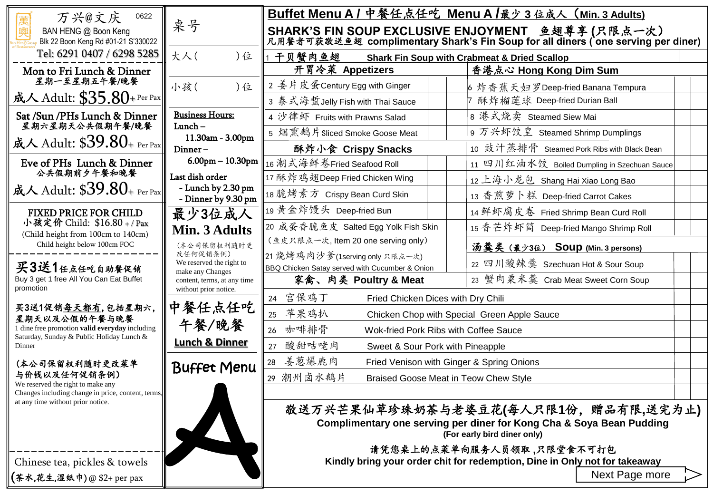| 万兴@文庆<br>0622                                                                                                                                                                               | 桌号                                                                                                     | Buffet Menu A / 中餐任点任吃 Menu A /最少 3 位成人 (Min. 3 Adults)                                                                               |                                                                                                                                             |  |  |
|---------------------------------------------------------------------------------------------------------------------------------------------------------------------------------------------|--------------------------------------------------------------------------------------------------------|---------------------------------------------------------------------------------------------------------------------------------------|---------------------------------------------------------------------------------------------------------------------------------------------|--|--|
| BAN HENG @ Boon Keng<br>Blk 22 Boon Keng Rd #01-21 S'330022                                                                                                                                 |                                                                                                        | SHARK'S FIN SOUP EXCLUSIVE ENJOYMENT 鱼翅草享 (只限点一次)<br>凡用餐者可获敬送鱼翅 complimentary Shark's Fin Soup for all diners (one serving per diner) |                                                                                                                                             |  |  |
| Tel: 6291 0407 / 6298 5285                                                                                                                                                                  | 大人(<br>)位                                                                                              | 1 干贝蟹肉鱼翅                                                                                                                              | <b>Shark Fin Soup with Crabmeat &amp; Dried Scallop</b>                                                                                     |  |  |
| Mon to Fri Lunch & Dinner                                                                                                                                                                   |                                                                                                        | 开胃冷菜 Appetizers                                                                                                                       | 香港点心 Hong Kong Dim Sum                                                                                                                      |  |  |
| 星期一至星期五午餐/晚餐                                                                                                                                                                                | 小孩(<br>)位                                                                                              | 2 姜片皮蛋Century Egg with Ginger                                                                                                         | 6 炸香蕉天妇罗Deep-fried Banana Tempura                                                                                                           |  |  |
| 成人 Adult: $$35.80+$ Per Pax                                                                                                                                                                 |                                                                                                        | 3 泰式海蜇Jelly Fish with Thai Sauce                                                                                                      | 酥炸榴莲球 Deep-fried Durian Ball                                                                                                                |  |  |
| Sat /Sun /PHs Lunch & Dinner<br>星期六星期天公共假期午餐/晚餐                                                                                                                                             | <b>Business Hours:</b>                                                                                 | 4 沙律虾 Fruits with Prawns Salad                                                                                                        | 8 港式烧卖 Steamed Siew Mai                                                                                                                     |  |  |
|                                                                                                                                                                                             | $Lunch -$<br>11.30am - 3.00pm<br>Dinner-                                                               | 5 烟熏鹅片Sliced Smoke Goose Meat                                                                                                         | 9 万兴虾饺皇 Steamed Shrimp Dumplings                                                                                                            |  |  |
| 成人 Adult: $$39.80$ + Per Pax                                                                                                                                                                |                                                                                                        | 酥炸小食 Crispy Snacks                                                                                                                    | 10 豉汁蒸排骨 Steamed Pork Ribs with Black Bean                                                                                                  |  |  |
| Eve of PHs Lunch & Dinner                                                                                                                                                                   | $6.00$ pm $-10.30$ pm                                                                                  | 16 潮式海鲜卷Fried Seafood Roll                                                                                                            | 11 四川红油水饺 Boiled Dumpling in Szechuan Sauce                                                                                                 |  |  |
| 公共假期前夕午餐和晚餐                                                                                                                                                                                 | Last dish order                                                                                        | 17 酥炸鸡翅Deep Fried Chicken Wing                                                                                                        | 12 上海小龙包 Shang Hai Xiao Long Bao                                                                                                            |  |  |
| 成人 Adult: $$39.80$ + Per Pax                                                                                                                                                                | - Lunch by 2.30 pm<br>- Dinner by 9.30 pm                                                              | 18 脆烤素方 Crispy Bean Curd Skin                                                                                                         | 13 香煎萝卜糕 Deep-fried Carrot Cakes                                                                                                            |  |  |
| <b>FIXED PRICE FOR CHILD</b><br>小孩定价 Child: \$16.80 +/Pax<br>(Child height from 100cm to 140cm)<br>Child height below 100cm FOC<br>买3送1任点任吃自助餐促销<br>Buy 3 get 1 free All You Can Eat Buffet | 最少3位成人                                                                                                 | 19 黄金炸馒头 Deep-fried Bun                                                                                                               | 14 鲜虾腐皮卷 Fried Shrimp Bean Curd Roll                                                                                                        |  |  |
|                                                                                                                                                                                             | Min. 3 Adults                                                                                          | 20 咸蛋香脆鱼皮 Salted Egg Yolk Fish Skin                                                                                                   |                                                                                                                                             |  |  |
|                                                                                                                                                                                             | (本公司保留权利随时更<br>改任何促销条例)<br>We reserved the right to<br>make any Changes<br>content, terms, at any time | (鱼皮只限点一次, Item 20 one serving only)                                                                                                   | 汤羹类 (最少3位) Soup (Min. 3 persons)                                                                                                            |  |  |
|                                                                                                                                                                                             |                                                                                                        | 21 烧烤鸡肉沙爹(1serving only 只限点一次)<br>BBQ Chicken Satay served with Cucumber & Onion                                                      | 22 四川酸辣羹 Szechuan Hot & Sour Soup                                                                                                           |  |  |
|                                                                                                                                                                                             |                                                                                                        | 家禽、肉类 Poultry & Meat                                                                                                                  | 23 蟹肉粟米羹 Crab Meat Sweet Corn Soup                                                                                                          |  |  |
| promotion                                                                                                                                                                                   | without prior notice.                                                                                  | 24 宫保鸡丁<br>Fried Chicken Dices with Dry Chili                                                                                         |                                                                                                                                             |  |  |
| 买3送1促销每天都有,包括星期六,<br>星期天以及公假的午餐与晚餐                                                                                                                                                          | 中餐任点任吃<br>午餐/晚餐                                                                                        | 苹果鸡扒<br>25<br>Chicken Chop with Special Green Apple Sauce                                                                             |                                                                                                                                             |  |  |
| 1 dine free promotion valid everyday including                                                                                                                                              |                                                                                                        | 咖啡排骨<br>26<br>Wok-fried Pork Ribs with Coffee Sauce                                                                                   |                                                                                                                                             |  |  |
| Saturday, Sunday & Public Holiday Lunch &<br>Dinner                                                                                                                                         | <b>Lunch &amp; Dinner</b>                                                                              | 酸甜咕咾肉<br>27<br>Sweet & Sour Pork with Pineapple                                                                                       |                                                                                                                                             |  |  |
| (本公司保留权利随时更改莱单<br>与价钱以及任何促销条例)<br>We reserved the right to make any<br>Changes including change in price, content, terms,<br>at any time without prior notice.                              | <b>Buffet Menu</b>                                                                                     | 28 姜葱爆鹿肉<br>Fried Venison with Ginger & Spring Onions                                                                                 |                                                                                                                                             |  |  |
|                                                                                                                                                                                             |                                                                                                        | 29 潮州卤水鹅片<br>Braised Goose Meat in Teow Chew Style                                                                                    |                                                                                                                                             |  |  |
|                                                                                                                                                                                             |                                                                                                        |                                                                                                                                       |                                                                                                                                             |  |  |
|                                                                                                                                                                                             |                                                                                                        |                                                                                                                                       | 敬送万兴芒果仙草珍珠奶茶与老婆豆花(每人只限1份, 赠品有限,送完为止)<br>Complimentary one serving per diner for Kong Cha & Soya Bean Pudding<br>(For early bird diner only) |  |  |
| Chinese tea, pickles & towels                                                                                                                                                               |                                                                                                        | 请凭您桌上的点菜单向服务人员领取,只限堂食不可打包<br>Kindly bring your order chit for redemption, Dine in Only not for takeaway                               |                                                                                                                                             |  |  |
| <b>(茶水,花生,湿纸巾)@\$2+per pax</b>                                                                                                                                                              |                                                                                                        |                                                                                                                                       | Next Page more                                                                                                                              |  |  |
|                                                                                                                                                                                             |                                                                                                        |                                                                                                                                       |                                                                                                                                             |  |  |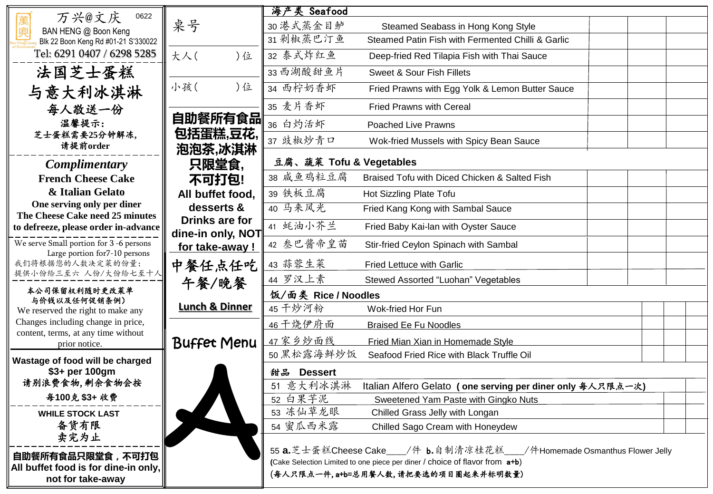| 万兴@文庆<br>0622                                                                                                                                                                                  |                                             | 海产类 Seafood                                                                             |                                                                                                                                                                                                 |  |  |  |
|------------------------------------------------------------------------------------------------------------------------------------------------------------------------------------------------|---------------------------------------------|-----------------------------------------------------------------------------------------|-------------------------------------------------------------------------------------------------------------------------------------------------------------------------------------------------|--|--|--|
| BAN HENG @ Boon Keng                                                                                                                                                                           | 桌号                                          | 30 港式蒸金目鲈                                                                               | Steamed Seabass in Hong Kong Style                                                                                                                                                              |  |  |  |
| Blk 22 Boon Keng Rd #01-21 S'330022                                                                                                                                                            |                                             | 31 剁椒蒸巴汀鱼                                                                               | Steamed Patin Fish with Fermented Chilli & Garlic                                                                                                                                               |  |  |  |
| Tel: 6291 0407 / 6298 5285                                                                                                                                                                     | 大人(<br>)位                                   | 32 泰式炸红鱼                                                                                | Deep-fried Red Tilapia Fish with Thai Sauce                                                                                                                                                     |  |  |  |
| 法国芝士蛋糕                                                                                                                                                                                         |                                             | 33 西湖酸甜鱼片                                                                               | Sweet & Sour Fish Fillets                                                                                                                                                                       |  |  |  |
| 与意大利冰淇淋                                                                                                                                                                                        | 小孩(<br>)位                                   | 34 西柠奶香虾                                                                                | Fried Prawns with Egg Yolk & Lemon Butter Sauce                                                                                                                                                 |  |  |  |
| 每人敬送一份                                                                                                                                                                                         |                                             | 35 麦片香虾                                                                                 | <b>Fried Prawns with Cereal</b>                                                                                                                                                                 |  |  |  |
| 温馨提示:                                                                                                                                                                                          | 自助餐所有食品                                     | 36 白灼活虾                                                                                 | <b>Poached Live Prawns</b>                                                                                                                                                                      |  |  |  |
| 芝士蛋糕需要25分钟解冻,<br>请提前order                                                                                                                                                                      | 包括蛋糕,豆花,                                    | 37 豉椒炒青口                                                                                | Wok-fried Mussels with Spicy Bean Sauce                                                                                                                                                         |  |  |  |
| <b>Complimentary</b>                                                                                                                                                                           | 泡泡茶,冰淇淋<br>豆腐、蔬菜 Tofu & Vegetables<br>只限堂食, |                                                                                         |                                                                                                                                                                                                 |  |  |  |
| <b>French Cheese Cake</b>                                                                                                                                                                      | 不可打包!                                       | 38 咸鱼鸡粒豆腐                                                                               | Braised Tofu with Diced Chicken & Salted Fish                                                                                                                                                   |  |  |  |
| & Italian Gelato                                                                                                                                                                               | All buffet food,                            | 39 铁板豆腐                                                                                 | Hot Sizzling Plate Tofu                                                                                                                                                                         |  |  |  |
| One serving only per diner                                                                                                                                                                     | desserts &                                  | 40 马来风光                                                                                 | Fried Kang Kong with Sambal Sauce                                                                                                                                                               |  |  |  |
| The Cheese Cake need 25 minutes<br>to defreeze, please order in-advance<br>We serve Small portion for 3 -6 persons<br>Large portion for7-10 persons<br>我们将根据您的人数决定菜的份量:<br>提供小份给三至六 人份/大份给七至十人 | Drinks are for                              | 41 蚝油小芥兰                                                                                | Fried Baby Kai-lan with Oyster Sauce                                                                                                                                                            |  |  |  |
|                                                                                                                                                                                                | dine-in only, NOT<br>for take-away!         | 42 叁巴酱帝皇苗                                                                               | Stir-fried Ceylon Spinach with Sambal                                                                                                                                                           |  |  |  |
|                                                                                                                                                                                                | 中餐任点任吃<br>午餐/晚餐                             | 43 蒜蓉生菜                                                                                 | <b>Fried Lettuce with Garlic</b>                                                                                                                                                                |  |  |  |
|                                                                                                                                                                                                |                                             | 44 罗汉上素                                                                                 | Stewed Assorted "Luohan" Vegetables                                                                                                                                                             |  |  |  |
| 本公司保留权利随时更改莱单<br>与价钱以及任何促销条例)                                                                                                                                                                  | 饭/面类 Rice / Noodles                         |                                                                                         |                                                                                                                                                                                                 |  |  |  |
| We reserved the right to make any                                                                                                                                                              | <b>Lunch &amp; Dinner</b>                   | 45 千炒河粉                                                                                 | Wok-fried Hor Fun                                                                                                                                                                               |  |  |  |
| Changes including change in price,<br>content, terms, at any time without                                                                                                                      |                                             | 46 干烧伊府面                                                                                | <b>Braised Ee Fu Noodles</b>                                                                                                                                                                    |  |  |  |
| prior notice.                                                                                                                                                                                  | <b>Buffet Menu</b>                          | 47 家乡炒面线                                                                                | Fried Mian Xian in Homemade Style                                                                                                                                                               |  |  |  |
| Wastage of food will be charged                                                                                                                                                                |                                             | 50 黑松露海鲜炒饭                                                                              | Seafood Fried Rice with Black Truffle Oil                                                                                                                                                       |  |  |  |
| \$3+ per 100gm                                                                                                                                                                                 |                                             | 甜品<br><b>Dessert</b>                                                                    |                                                                                                                                                                                                 |  |  |  |
| 请别浪费食物,剩余食物会按                                                                                                                                                                                  |                                             | 51 意大利冰淇淋<br>Italian Alfero Gelato (one serving per diner only $A \rightarrow A$ 只限点一次) |                                                                                                                                                                                                 |  |  |  |
| 每100克 \$3+收费                                                                                                                                                                                   |                                             | 52 白果芋泥                                                                                 | Sweetened Yam Paste with Gingko Nuts                                                                                                                                                            |  |  |  |
| <b>WHILE STOCK LAST</b>                                                                                                                                                                        |                                             | 53 冻仙草龙眼                                                                                | Chilled Grass Jelly with Longan                                                                                                                                                                 |  |  |  |
| 备货有限                                                                                                                                                                                           |                                             | 54 蜜瓜西米露                                                                                | Chilled Sago Cream with Honeydew                                                                                                                                                                |  |  |  |
| 卖完为止<br>自助餐所有食品只限堂食,不可打包<br>All buffet food is for dine-in only,<br>not for take-away                                                                                                          |                                             |                                                                                         | 55 a.芝士蛋糕Cheese Cake___/件 b.自制清凉桂花糕___/件Homemade Osmanthus Flower Jelly<br>(Cake Selection Limited to one piece per diner / choice of flavor from a+b)<br>(每人只限点一件, a+b=总用餐人数, 请把要选的项目圈起来并标明数量) |  |  |  |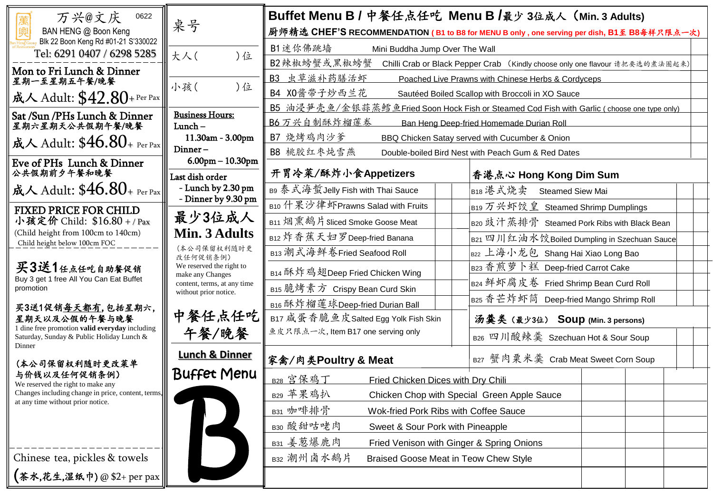| 万兴@文庆<br>0622                                                                                                                                                                                                                                                                                                                                                                                                                                                                                                                                                                                                                                                                                                                                                                                                                            |                                                                                                      | Buffet Menu B / 中餐任点任吃 Menu B /最少 3位成人 (Min. 3 Adults)                                      |                                                                                            |  |  |  |
|------------------------------------------------------------------------------------------------------------------------------------------------------------------------------------------------------------------------------------------------------------------------------------------------------------------------------------------------------------------------------------------------------------------------------------------------------------------------------------------------------------------------------------------------------------------------------------------------------------------------------------------------------------------------------------------------------------------------------------------------------------------------------------------------------------------------------------------|------------------------------------------------------------------------------------------------------|---------------------------------------------------------------------------------------------|--------------------------------------------------------------------------------------------|--|--|--|
| 興<br>BAN HENG @ Boon Keng<br>Blk 22 Boon Keng Rd #01-21 S'330022                                                                                                                                                                                                                                                                                                                                                                                                                                                                                                                                                                                                                                                                                                                                                                         | 桌号                                                                                                   |                                                                                             | 厨师精选 CHEF'S RECOMMENDATION (B1 to B8 for MENU B only, one serving per dish, B1至 B8每样只限点一次) |  |  |  |
| Tel: 6291 0407 / 6298 5285                                                                                                                                                                                                                                                                                                                                                                                                                                                                                                                                                                                                                                                                                                                                                                                                               | )位<br>大人(                                                                                            | B1 述你佛跳墙<br>Mini Buddha Jump Over The Wall                                                  |                                                                                            |  |  |  |
| Mon to Fri Lunch & Dinner                                                                                                                                                                                                                                                                                                                                                                                                                                                                                                                                                                                                                                                                                                                                                                                                                |                                                                                                      | B2辣椒螃蟹或黑椒螃蟹<br>Chilli Crab or Black Pepper Crab (Kindly choose only one flavour 请把要选的煮法圈起来) |                                                                                            |  |  |  |
| 星期一至星期五午餐/晚餐                                                                                                                                                                                                                                                                                                                                                                                                                                                                                                                                                                                                                                                                                                                                                                                                                             | 小孩(<br>)位                                                                                            | B3 虫草滋补药膳活虾<br>Poached Live Prawns with Chinese Herbs & Cordyceps                           |                                                                                            |  |  |  |
| 成人 Adult: $\$42.80$ +Per Pax                                                                                                                                                                                                                                                                                                                                                                                                                                                                                                                                                                                                                                                                                                                                                                                                             |                                                                                                      | B4 X0酱带子炒西兰花<br>Sautéed Boiled Scallop with Broccoli in XO Sauce                            |                                                                                            |  |  |  |
| Sat /Sun /PHs Lunch & Dinner                                                                                                                                                                                                                                                                                                                                                                                                                                                                                                                                                                                                                                                                                                                                                                                                             | <b>Business Hours:</b>                                                                               | B5 油浸笋壳鱼/金银蒜蒸鳕鱼Fried Soon Hock Fish or Steamed Cod Fish with Garlic (choose one type only)  |                                                                                            |  |  |  |
| 星期六星期天公共假期午餐/晚餐                                                                                                                                                                                                                                                                                                                                                                                                                                                                                                                                                                                                                                                                                                                                                                                                                          | $Lunch -$                                                                                            | B6 万兴自制酥炸榴莲卷<br>Ban Heng Deep-fried Homemade Durian Roll                                    |                                                                                            |  |  |  |
| 成人 Adult: $$46.80_{\scriptscriptstyle +}$ Per Pax                                                                                                                                                                                                                                                                                                                                                                                                                                                                                                                                                                                                                                                                                                                                                                                        | 11.30am - 3.00pm<br>Dinner-                                                                          | B7 烧烤鸡肉沙爹                                                                                   | BBQ Chicken Satay served with Cucumber & Onion                                             |  |  |  |
| Eve of PHs Lunch & Dinner                                                                                                                                                                                                                                                                                                                                                                                                                                                                                                                                                                                                                                                                                                                                                                                                                | $6.00$ pm $-10.30$ pm                                                                                | B8 桃胶红枣炖雪燕<br>Double-boiled Bird Nest with Peach Gum & Red Dates                            |                                                                                            |  |  |  |
| 公共假期前夕午餐和晚餐                                                                                                                                                                                                                                                                                                                                                                                                                                                                                                                                                                                                                                                                                                                                                                                                                              | Last dish order                                                                                      | 开胃冷菜/酥炸小食Appetizers                                                                         | 香港点心 Hong Kong Dim Sum                                                                     |  |  |  |
| 成人 Adult: $$46.80_{\scriptscriptstyle +}$ Per Pax                                                                                                                                                                                                                                                                                                                                                                                                                                                                                                                                                                                                                                                                                                                                                                                        | - Lunch by 2.30 pm                                                                                   |                                                                                             | B18 港式烧卖<br><b>Steamed Siew Mai</b>                                                        |  |  |  |
| <b>FIXED PRICE FOR CHILD</b>                                                                                                                                                                                                                                                                                                                                                                                                                                                                                                                                                                                                                                                                                                                                                                                                             | - Dinner by 9.30 pm                                                                                  | B10 什果沙律虾Prawns Salad with Fruits                                                           | <sub>1B19</sub> 万兴虾饺皇 Steamed Shrimp Dumplings                                             |  |  |  |
| 小孩定价 Child: \$16.80 +/Pax                                                                                                                                                                                                                                                                                                                                                                                                                                                                                                                                                                                                                                                                                                                                                                                                                | 最少3位成人                                                                                               | B11 烟熏鹅片 Sliced Smoke Goose Meat                                                            | B20 豉汁蒸排骨 Steamed Pork Ribs with Black Bean                                                |  |  |  |
| (Child height from 100cm to 140cm)<br>Child height below 100cm FOC                                                                                                                                                                                                                                                                                                                                                                                                                                                                                                                                                                                                                                                                                                                                                                       | Min. 3 Adults                                                                                        | B12炸香蕉天妇罗Deep-fried Banana                                                                  | B21 四川红油水饺Boiled Dumpling in Szechuan Sauce                                                |  |  |  |
| 买3送1任点任吃自助餐促销<br>Buy 3 get 1 free All You Can Eat Buffet<br>promotion                                                                                                                                                                                                                                                                                                                                                                                                                                                                                                                                                                                                                                                                                                                                                                    | (本公司保留权利随时更<br>改任何促销条例)                                                                              | B13 潮式海鲜卷Fried Seafood Roll                                                                 | B22 上海小龙包 Shang Hai Xiao Long Bao                                                          |  |  |  |
|                                                                                                                                                                                                                                                                                                                                                                                                                                                                                                                                                                                                                                                                                                                                                                                                                                          | We reserved the right to<br>make any Changes<br>content, terms, at any time<br>without prior notice. | B14 酥炸鸡翅Deep Fried Chicken Wing                                                             | B23 香煎萝卜糕 Deep-fried Carrot Cake                                                           |  |  |  |
|                                                                                                                                                                                                                                                                                                                                                                                                                                                                                                                                                                                                                                                                                                                                                                                                                                          |                                                                                                      | B15 脆烤素方 Crispy Bean Curd Skin                                                              | B24 鲜虾腐皮卷 Fried Shrimp Bean Curd Roll                                                      |  |  |  |
| 买3送1促销每天都有,包括星期六,                                                                                                                                                                                                                                                                                                                                                                                                                                                                                                                                                                                                                                                                                                                                                                                                                        |                                                                                                      | B25 香芒炸虾筒 Deep-fried Mango Shrimp Roll<br>B16 酥炸榴莲球Deep-fried Durian Ball                   |                                                                                            |  |  |  |
| 星期天以及公假的午餐与晚餐                                                                                                                                                                                                                                                                                                                                                                                                                                                                                                                                                                                                                                                                                                                                                                                                                            | 中餐任点任吃                                                                                               | B17 咸蛋香脆鱼皮Salted Egg Yolk Fish Skin                                                         | 汤羹类 (最少3位) Soup (Min. 3 persons)                                                           |  |  |  |
| 1 dine free promotion valid everyday including<br>Saturday, Sunday & Public Holiday Lunch &<br>Dinner                                                                                                                                                                                                                                                                                                                                                                                                                                                                                                                                                                                                                                                                                                                                    | 午餐/晚餐                                                                                                | 鱼皮只限点一次, Item B17 one serving only                                                          | B26 四川酸辣羹 Szechuan Hot & Sour Soup                                                         |  |  |  |
| (本公司保留权利随时更改菜单                                                                                                                                                                                                                                                                                                                                                                                                                                                                                                                                                                                                                                                                                                                                                                                                                           | <b>Lunch &amp; Dinner</b>                                                                            | 家禽/肉类Poultry & Meat                                                                         | B27 蟹肉粟米羹 Crab Meat Sweet Corn Soup                                                        |  |  |  |
| 与价钱以及任何促销条例)<br>We reserved the right to make any                                                                                                                                                                                                                                                                                                                                                                                                                                                                                                                                                                                                                                                                                                                                                                                        | <b>Buffet Menu</b>                                                                                   | B28 宫保鸡丁<br>Fried Chicken Dices with Dry Chili                                              |                                                                                            |  |  |  |
| Changes including change in price, content, terms,<br>at any time without prior notice.                                                                                                                                                                                                                                                                                                                                                                                                                                                                                                                                                                                                                                                                                                                                                  |                                                                                                      | B29 苹果鸡扒                                                                                    | Chicken Chop with Special Green Apple Sauce                                                |  |  |  |
|                                                                                                                                                                                                                                                                                                                                                                                                                                                                                                                                                                                                                                                                                                                                                                                                                                          |                                                                                                      | B31 咖啡排骨<br>Wok-fried Pork Ribs with Coffee Sauce                                           |                                                                                            |  |  |  |
|                                                                                                                                                                                                                                                                                                                                                                                                                                                                                                                                                                                                                                                                                                                                                                                                                                          |                                                                                                      | B30 酸甜咕咾肉<br>Sweet & Sour Pork with Pineapple                                               |                                                                                            |  |  |  |
|                                                                                                                                                                                                                                                                                                                                                                                                                                                                                                                                                                                                                                                                                                                                                                                                                                          |                                                                                                      | B31 姜葱爆鹿肉                                                                                   | Fried Venison with Ginger & Spring Onions                                                  |  |  |  |
| Chinese tea, pickles & towels                                                                                                                                                                                                                                                                                                                                                                                                                                                                                                                                                                                                                                                                                                                                                                                                            |                                                                                                      | B32 潮州卤水鹅片<br>Braised Goose Meat in Teow Chew Style                                         |                                                                                            |  |  |  |
| $\left(\underset{\longrightarrow}{\ast}\underset{\longrightarrow}{\ast},\underset{\longrightarrow}{\ast}\underset{\longrightarrow}{\ast},\underset{\longrightarrow}{\ast}\underset{\longrightarrow}{\ast},\underset{\longrightarrow}{\ast},\underset{\longrightarrow}{\ast},\underset{\longrightarrow}{\ast},\underset{\longrightarrow}{\ast},\underset{\longrightarrow}{\ast},\underset{\longrightarrow}{\ast},\underset{\longrightarrow}{\ast},\underset{\longrightarrow}{\ast},\underset{\longrightarrow}{\ast},\underset{\longrightarrow}{\ast},\underset{\longrightarrow}{\ast},\underset{\longrightarrow}{\ast},\underset{\longrightarrow}{\ast},\underset{\longrightarrow}{\ast},\underset{\longrightarrow}{\ast},\underset{\longrightarrow}{\ast},\underset{\longrightarrow}{\ast},\underset{\longrightarrow}{\ast},\underset{\$ |                                                                                                      |                                                                                             |                                                                                            |  |  |  |